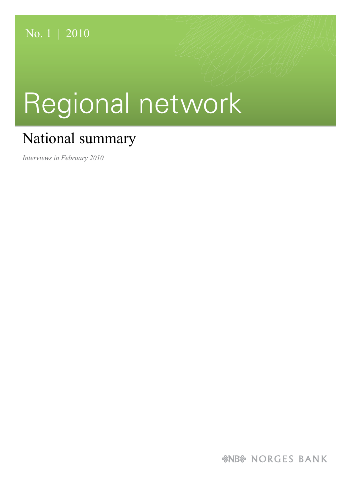# Regional network

## National summary

*Interviews in February 2010*

*&NB& NORGES BANK*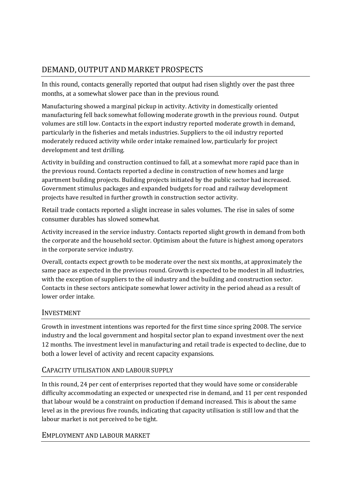### DEMAND, OUTPUT AND MARKET PROSPECTS

In this round, contacts generally reported that output had risen slightly over the past three months, at a somewhat slower pace than in the previous round.

Manufacturing showed a marginal pickup in activity. Activity in domestically oriented manufacturing fell back somewhat following moderate growth in the previous round. Output volumes are still low. Contacts in the export industry reported moderate growth in demand, particularly in the fisheries and metals industries. Suppliers to the oil industry reported moderately reduced activity while order intake remained low, particularly for project development and test drilling.

Activity in building and construction continued to fall, at a somewhat more rapid pace than in the previous round. Contacts reported a decline in construction of new homes and large apartment building projects. Building projects initiated by the public sector had increased. Government stimulus packages and expanded budgets for road and railway development projects have resulted in further growth in construction sector activity.

Retail trade contacts reported a slight increase in sales volumes. The rise in sales of some consumer durables has slowed somewhat.

Activity increased in the service industry. Contacts reported slight growth in demand from both the corporate and the household sector. Optimism about the future is highest among operators in the corporate service industry.

Overall, contacts expect growth to be moderate over the next six months, at approximately the same pace as expected in the previous round. Growth is expected to be modest in all industries, with the exception of suppliers to the oil industry and the building and construction sector. Contacts in these sectors anticipate somewhat lower activity in the period ahead as a result of lower order intake.

#### INVESTMENT

Growth in investment intentions was reported for the first time since spring 2008. The service industry and the local government and hospital sector plan to expand investment over the next 12 months. The investment level in manufacturing and retail trade is expected to decline, due to both a lower level of activity and recent capacity expansions.

#### CAPACITY UTILISATION AND LABOUR SUPPLY

In this round, 24 per cent of enterprises reported that they would have some or considerable difficulty accommodating an expected or unexpected rise in demand, and 11 per cent responded that labour would be a constraint on production if demand increased. This is about the same level as in the previous five rounds, indicating that capacity utilisation is still low and that the labour market is not perceived to be tight.

#### EMPLOYMENT AND LABOUR MARKET